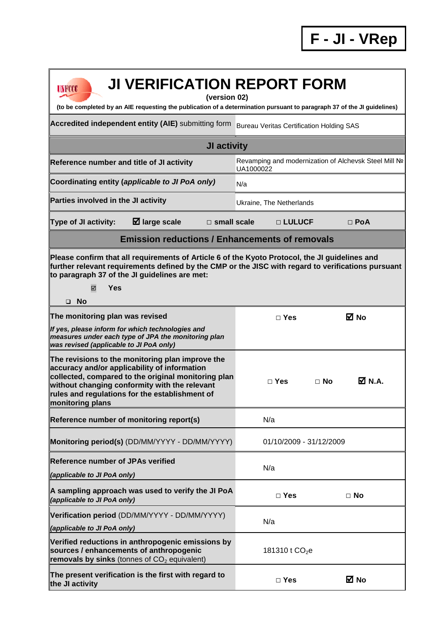| <b>JI VERIFICATION REPORT FORM</b><br>UNFCCC<br>(version 02)<br>(to be completed by an AIE requesting the publication of a determination pursuant to paragraph 37 of the JI guidelines)                                                                                           |                                                 |                                                       |  |
|-----------------------------------------------------------------------------------------------------------------------------------------------------------------------------------------------------------------------------------------------------------------------------------|-------------------------------------------------|-------------------------------------------------------|--|
| Accredited independent entity (AIE) submitting form                                                                                                                                                                                                                               | <b>Bureau Veritas Certification Holding SAS</b> |                                                       |  |
| JI activity                                                                                                                                                                                                                                                                       |                                                 |                                                       |  |
| Reference number and title of JI activity                                                                                                                                                                                                                                         | UA1000022                                       | Revamping and modernization of Alchevsk Steel Mill Nº |  |
| Coordinating entity (applicable to JI PoA only)                                                                                                                                                                                                                                   | N/a                                             |                                                       |  |
| Parties involved in the JI activity                                                                                                                                                                                                                                               | Ukraine, The Netherlands                        |                                                       |  |
| $\boxtimes$ large scale<br>Type of JI activity:<br>$\Box$ small scale                                                                                                                                                                                                             | □ LULUCF                                        | $\Box$ PoA                                            |  |
| <b>Emission reductions / Enhancements of removals</b>                                                                                                                                                                                                                             |                                                 |                                                       |  |
| Please confirm that all requirements of Article 6 of the Kyoto Protocol, the JI guidelines and<br>further relevant requirements defined by the CMP or the JISC with regard to verifications pursuant<br>to paragraph 37 of the JI guidelines are met:<br>Yes<br>☑<br>$\square$ No |                                                 |                                                       |  |
| The monitoring plan was revised                                                                                                                                                                                                                                                   | $\Box$ Yes                                      | <b>⊠</b> No                                           |  |
| If yes, please inform for which technologies and<br>measures under each type of JPA the monitoring plan<br>was revised (applicable to JI PoA only)                                                                                                                                |                                                 |                                                       |  |
| The revisions to the monitoring plan improve the<br>accuracy and/or applicability of information<br>collected, compared to the original monitoring plan<br>without changing conformity with the relevant<br>rules and regulations for the establishment of<br>monitoring plans    | $\Box$ Yes                                      | $\overline{M}$ N.A.<br>$\Box$ No                      |  |
| Reference number of monitoring report(s)                                                                                                                                                                                                                                          | N/a                                             |                                                       |  |
| Monitoring period(s) (DD/MM/YYYY - DD/MM/YYYY)                                                                                                                                                                                                                                    | 01/10/2009 - 31/12/2009                         |                                                       |  |
| <b>Reference number of JPAs verified</b><br>(applicable to JI PoA only)                                                                                                                                                                                                           | N/a                                             |                                                       |  |
| A sampling approach was used to verify the JI PoA<br>(applicable to JI PoA only)                                                                                                                                                                                                  | $\Box$ Yes                                      | $\Box$ No                                             |  |
| Verification period (DD/MM/YYYY - DD/MM/YYYY)<br>(applicable to JI PoA only)                                                                                                                                                                                                      | N/a                                             |                                                       |  |
| Verified reductions in anthropogenic emissions by<br>sources / enhancements of anthropogenic<br>removals by sinks (tonnes of CO <sub>2</sub> equivalent)                                                                                                                          | 181310 t $CO2e$                                 |                                                       |  |
| The present verification is the first with regard to<br>the JI activity                                                                                                                                                                                                           | $\Box$ Yes                                      | ⊠ No                                                  |  |